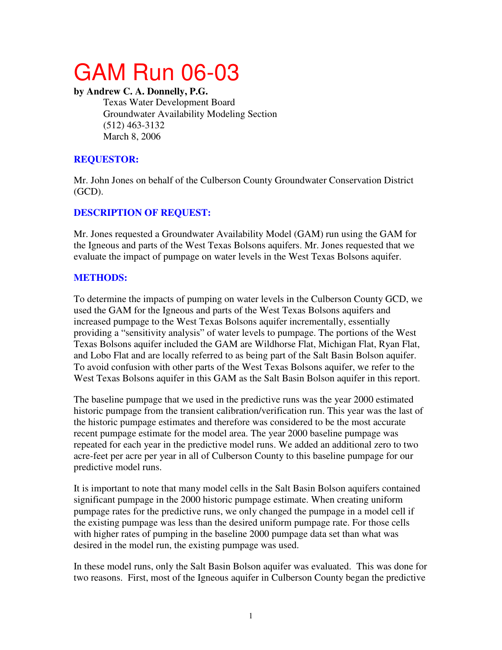# GAM Run 06-03

**by Andrew C. A. Donnelly, P.G.** 

Texas Water Development Board Groundwater Availability Modeling Section (512) 463-3132 March 8, 2006

# **REQUESTOR:**

Mr. John Jones on behalf of the Culberson County Groundwater Conservation District (GCD).

# **DESCRIPTION OF REQUEST:**

Mr. Jones requested a Groundwater Availability Model (GAM) run using the GAM for the Igneous and parts of the West Texas Bolsons aquifers. Mr. Jones requested that we evaluate the impact of pumpage on water levels in the West Texas Bolsons aquifer.

# **METHODS:**

To determine the impacts of pumping on water levels in the Culberson County GCD, we used the GAM for the Igneous and parts of the West Texas Bolsons aquifers and increased pumpage to the West Texas Bolsons aquifer incrementally, essentially providing a "sensitivity analysis" of water levels to pumpage. The portions of the West Texas Bolsons aquifer included the GAM are Wildhorse Flat, Michigan Flat, Ryan Flat, and Lobo Flat and are locally referred to as being part of the Salt Basin Bolson aquifer. To avoid confusion with other parts of the West Texas Bolsons aquifer, we refer to the West Texas Bolsons aquifer in this GAM as the Salt Basin Bolson aquifer in this report.

The baseline pumpage that we used in the predictive runs was the year 2000 estimated historic pumpage from the transient calibration/verification run. This year was the last of the historic pumpage estimates and therefore was considered to be the most accurate recent pumpage estimate for the model area. The year 2000 baseline pumpage was repeated for each year in the predictive model runs. We added an additional zero to two acre-feet per acre per year in all of Culberson County to this baseline pumpage for our predictive model runs.

It is important to note that many model cells in the Salt Basin Bolson aquifers contained significant pumpage in the 2000 historic pumpage estimate. When creating uniform pumpage rates for the predictive runs, we only changed the pumpage in a model cell if the existing pumpage was less than the desired uniform pumpage rate. For those cells with higher rates of pumping in the baseline 2000 pumpage data set than what was desired in the model run, the existing pumpage was used.

In these model runs, only the Salt Basin Bolson aquifer was evaluated. This was done for two reasons. First, most of the Igneous aquifer in Culberson County began the predictive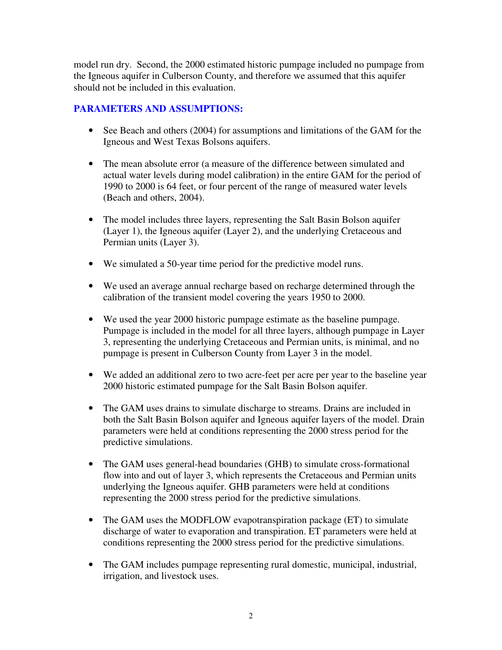model run dry. Second, the 2000 estimated historic pumpage included no pumpage from the Igneous aquifer in Culberson County, and therefore we assumed that this aquifer should not be included in this evaluation.

## **PARAMETERS AND ASSUMPTIONS:**

- See Beach and others (2004) for assumptions and limitations of the GAM for the Igneous and West Texas Bolsons aquifers.
- The mean absolute error (a measure of the difference between simulated and actual water levels during model calibration) in the entire GAM for the period of 1990 to 2000 is 64 feet, or four percent of the range of measured water levels (Beach and others, 2004).
- The model includes three layers, representing the Salt Basin Bolson aquifer (Layer 1), the Igneous aquifer (Layer 2), and the underlying Cretaceous and Permian units (Layer 3).
- We simulated a 50-year time period for the predictive model runs.
- We used an average annual recharge based on recharge determined through the calibration of the transient model covering the years 1950 to 2000.
- We used the year 2000 historic pumpage estimate as the baseline pumpage. Pumpage is included in the model for all three layers, although pumpage in Layer 3, representing the underlying Cretaceous and Permian units, is minimal, and no pumpage is present in Culberson County from Layer 3 in the model.
- We added an additional zero to two acre-feet per acre per year to the baseline year 2000 historic estimated pumpage for the Salt Basin Bolson aquifer.
- The GAM uses drains to simulate discharge to streams. Drains are included in both the Salt Basin Bolson aquifer and Igneous aquifer layers of the model. Drain parameters were held at conditions representing the 2000 stress period for the predictive simulations.
- The GAM uses general-head boundaries (GHB) to simulate cross-formational flow into and out of layer 3, which represents the Cretaceous and Permian units underlying the Igneous aquifer. GHB parameters were held at conditions representing the 2000 stress period for the predictive simulations.
- The GAM uses the MODFLOW evapotranspiration package (ET) to simulate discharge of water to evaporation and transpiration. ET parameters were held at conditions representing the 2000 stress period for the predictive simulations.
- The GAM includes pumpage representing rural domestic, municipal, industrial, irrigation, and livestock uses.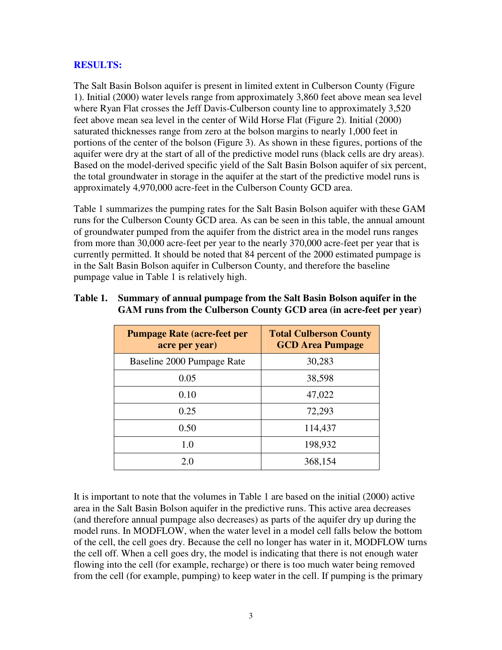#### **RESULTS:**

The Salt Basin Bolson aquifer is present in limited extent in Culberson County (Figure 1). Initial (2000) water levels range from approximately 3,860 feet above mean sea level where Ryan Flat crosses the Jeff Davis-Culberson county line to approximately 3,520 feet above mean sea level in the center of Wild Horse Flat (Figure 2). Initial (2000) saturated thicknesses range from zero at the bolson margins to nearly 1,000 feet in portions of the center of the bolson (Figure 3). As shown in these figures, portions of the aquifer were dry at the start of all of the predictive model runs (black cells are dry areas). Based on the model-derived specific yield of the Salt Basin Bolson aquifer of six percent, the total groundwater in storage in the aquifer at the start of the predictive model runs is approximately 4,970,000 acre-feet in the Culberson County GCD area.

Table 1 summarizes the pumping rates for the Salt Basin Bolson aquifer with these GAM runs for the Culberson County GCD area. As can be seen in this table, the annual amount of groundwater pumped from the aquifer from the district area in the model runs ranges from more than 30,000 acre-feet per year to the nearly 370,000 acre-feet per year that is currently permitted. It should be noted that 84 percent of the 2000 estimated pumpage is in the Salt Basin Bolson aquifer in Culberson County, and therefore the baseline pumpage value in Table 1 is relatively high.

| <b>Pumpage Rate (acre-feet per</b><br>acre per year) | <b>Total Culberson County</b><br><b>GCD Area Pumpage</b> |
|------------------------------------------------------|----------------------------------------------------------|
| Baseline 2000 Pumpage Rate                           | 30,283                                                   |
| 0.05                                                 | 38,598                                                   |
| 0.10                                                 | 47,022                                                   |
| 0.25                                                 | 72,293                                                   |
| 0.50                                                 | 114,437                                                  |
| 1.0                                                  | 198,932                                                  |
| 2.0                                                  | 368,154                                                  |

#### **Table 1. Summary of annual pumpage from the Salt Basin Bolson aquifer in the GAM runs from the Culberson County GCD area (in acre-feet per year)**

It is important to note that the volumes in Table 1 are based on the initial (2000) active area in the Salt Basin Bolson aquifer in the predictive runs. This active area decreases (and therefore annual pumpage also decreases) as parts of the aquifer dry up during the model runs. In MODFLOW, when the water level in a model cell falls below the bottom of the cell, the cell goes dry. Because the cell no longer has water in it, MODFLOW turns the cell off. When a cell goes dry, the model is indicating that there is not enough water flowing into the cell (for example, recharge) or there is too much water being removed from the cell (for example, pumping) to keep water in the cell. If pumping is the primary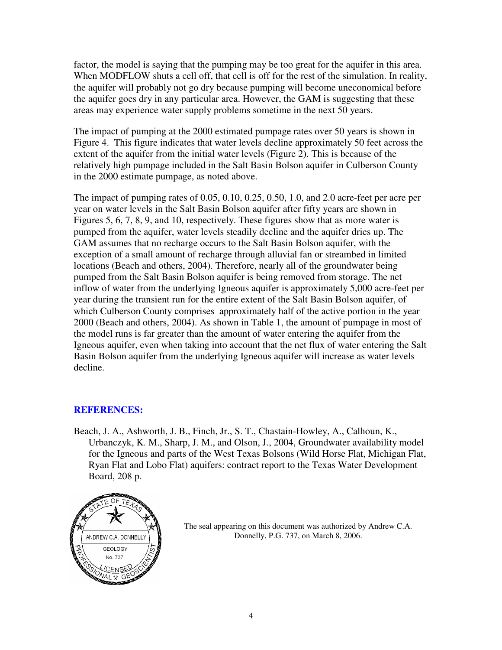factor, the model is saying that the pumping may be too great for the aquifer in this area. When MODFLOW shuts a cell off, that cell is off for the rest of the simulation. In reality, the aquifer will probably not go dry because pumping will become uneconomical before the aquifer goes dry in any particular area. However, the GAM is suggesting that these areas may experience water supply problems sometime in the next 50 years.

The impact of pumping at the 2000 estimated pumpage rates over 50 years is shown in Figure 4. This figure indicates that water levels decline approximately 50 feet across the extent of the aquifer from the initial water levels (Figure 2). This is because of the relatively high pumpage included in the Salt Basin Bolson aquifer in Culberson County in the 2000 estimate pumpage, as noted above.

The impact of pumping rates of 0.05, 0.10, 0.25, 0.50, 1.0, and 2.0 acre-feet per acre per year on water levels in the Salt Basin Bolson aquifer after fifty years are shown in Figures 5, 6, 7, 8, 9, and 10, respectively. These figures show that as more water is pumped from the aquifer, water levels steadily decline and the aquifer dries up. The GAM assumes that no recharge occurs to the Salt Basin Bolson aquifer, with the exception of a small amount of recharge through alluvial fan or streambed in limited locations (Beach and others, 2004). Therefore, nearly all of the groundwater being pumped from the Salt Basin Bolson aquifer is being removed from storage. The net inflow of water from the underlying Igneous aquifer is approximately 5,000 acre-feet per year during the transient run for the entire extent of the Salt Basin Bolson aquifer, of which Culberson County comprises approximately half of the active portion in the year 2000 (Beach and others, 2004). As shown in Table 1, the amount of pumpage in most of the model runs is far greater than the amount of water entering the aquifer from the Igneous aquifer, even when taking into account that the net flux of water entering the Salt Basin Bolson aquifer from the underlying Igneous aquifer will increase as water levels decline.

### **REFERENCES:**

Beach, J. A., Ashworth, J. B., Finch, Jr., S. T., Chastain-Howley, A., Calhoun, K., Urbanczyk, K. M., Sharp, J. M., and Olson, J., 2004, Groundwater availability model for the Igneous and parts of the West Texas Bolsons (Wild Horse Flat, Michigan Flat, Ryan Flat and Lobo Flat) aquifers: contract report to the Texas Water Development Board, 208 p.



The seal appearing on this document was authorized by Andrew C.A. Donnelly, P.G. 737, on March 8, 2006.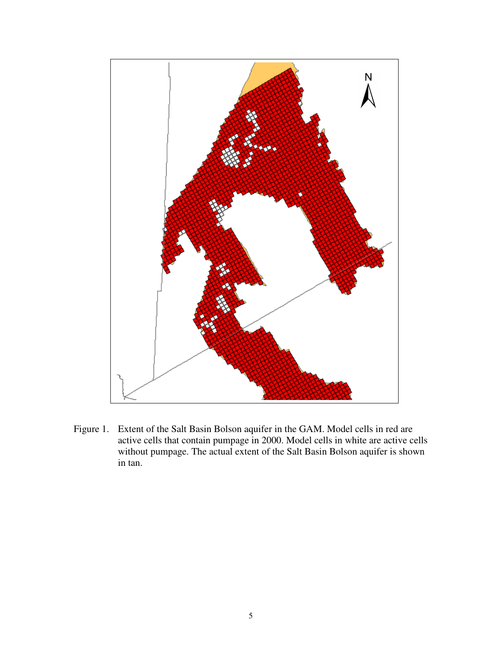

Figure 1. Extent of the Salt Basin Bolson aquifer in the GAM. Model cells in red are active cells that contain pumpage in 2000. Model cells in white are active cells without pumpage. The actual extent of the Salt Basin Bolson aquifer is shown in tan.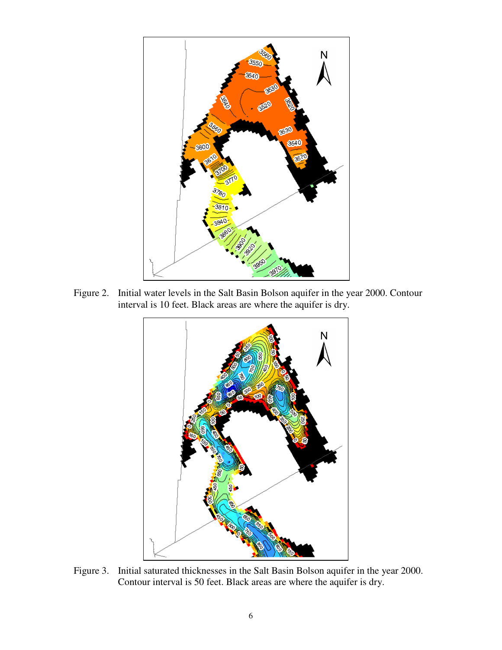

Figure 2. Initial water levels in the Salt Basin Bolson aquifer in the year 2000. Contour interval is 10 feet. Black areas are where the aquifer is dry.



Figure 3. Initial saturated thicknesses in the Salt Basin Bolson aquifer in the year 2000. Contour interval is 50 feet. Black areas are where the aquifer is dry.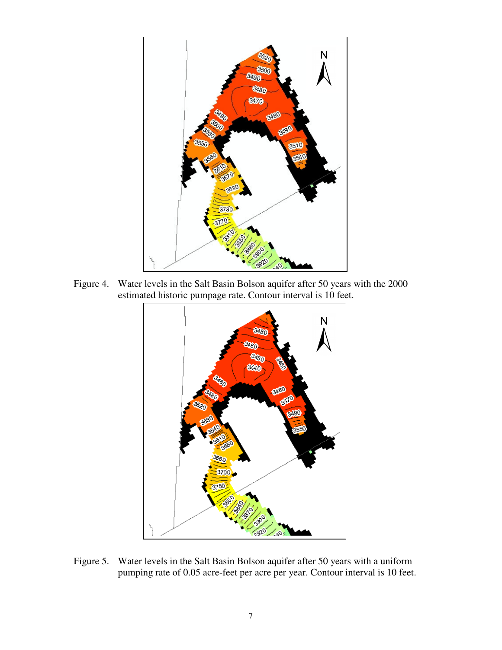

Figure 4. Water levels in the Salt Basin Bolson aquifer after 50 years with the 2000 estimated historic pumpage rate. Contour interval is 10 feet.



Figure 5. Water levels in the Salt Basin Bolson aquifer after 50 years with a uniform pumping rate of 0.05 acre-feet per acre per year. Contour interval is 10 feet.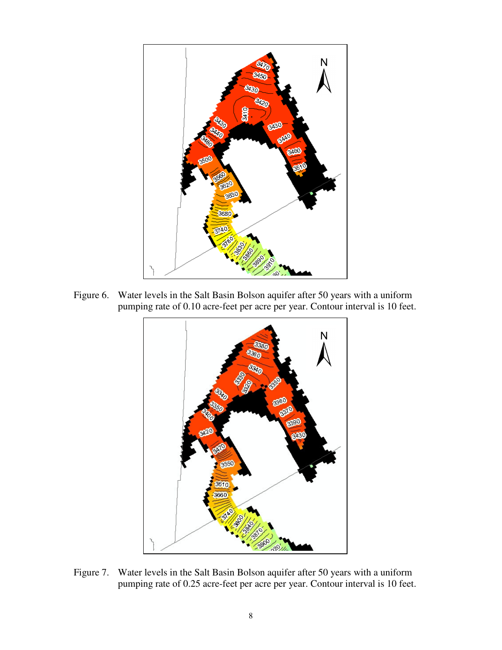

Figure 6. Water levels in the Salt Basin Bolson aquifer after 50 years with a uniform pumping rate of 0.10 acre-feet per acre per year. Contour interval is 10 feet.



Figure 7. Water levels in the Salt Basin Bolson aquifer after 50 years with a uniform pumping rate of 0.25 acre-feet per acre per year. Contour interval is 10 feet.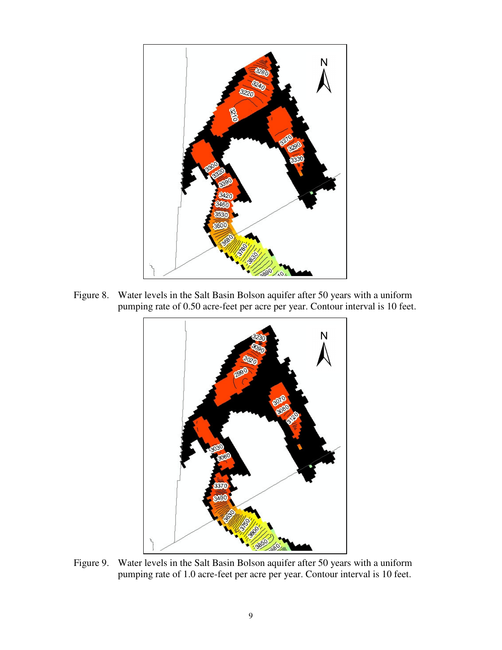

Figure 8. Water levels in the Salt Basin Bolson aquifer after 50 years with a uniform pumping rate of 0.50 acre-feet per acre per year. Contour interval is 10 feet.



Figure 9. Water levels in the Salt Basin Bolson aquifer after 50 years with a uniform pumping rate of 1.0 acre-feet per acre per year. Contour interval is 10 feet.